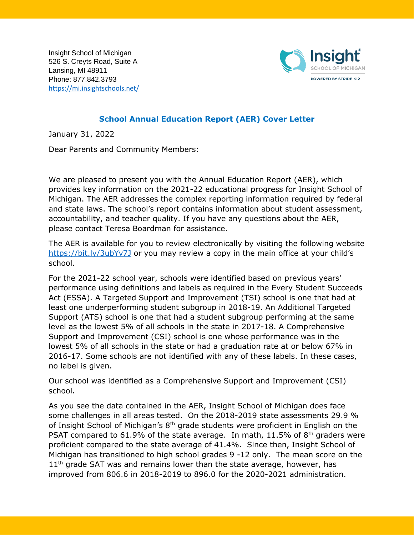Insight School of Michigan 526 S. Creyts Road, Suite A Lansing, MI 48911 Phone: 877.842.3793 <https://mi.insightschools.net/>



## **School Annual Education Report (AER) Cover Letter**

January 31, 2022

Dear Parents and Community Members:

We are pleased to present you with the Annual Education Report (AER), which provides key information on the 2021-22 educational progress for Insight School of Michigan. The AER addresses the complex reporting information required by federal and state laws. The school's report contains information about student assessment, accountability, and teacher quality. If you have any questions about the AER, please contact Teresa Boardman for assistance.

The AER is available for you to review electronically by visiting the following website <https://bit.ly/3ubYv7J> or you may review a copy in the main office at your child's school.

For the 2021-22 school year, schools were identified based on previous years' performance using definitions and labels as required in the Every Student Succeeds Act (ESSA). A Targeted Support and Improvement (TSI) school is one that had at least one underperforming student subgroup in 2018-19. An Additional Targeted Support (ATS) school is one that had a student subgroup performing at the same level as the lowest 5% of all schools in the state in 2017-18. A Comprehensive Support and Improvement (CSI) school is one whose performance was in the lowest 5% of all schools in the state or had a graduation rate at or below 67% in 2016-17. Some schools are not identified with any of these labels. In these cases, no label is given.

Our school was identified as a Comprehensive Support and Improvement (CSI) school.

As you see the data contained in the AER, Insight School of Michigan does face some challenges in all areas tested. On the 2018-2019 state assessments 29.9 % of Insight School of Michigan's  $8<sup>th</sup>$  grade students were proficient in English on the PSAT compared to 61.9% of the state average. In math, 11.5% of  $8<sup>th</sup>$  graders were proficient compared to the state average of 41.4%. Since then, Insight School of Michigan has transitioned to high school grades 9 -12 only. The mean score on the  $11<sup>th</sup>$  grade SAT was and remains lower than the state average, however, has improved from 806.6 in 2018-2019 to 896.0 for the 2020-2021 administration.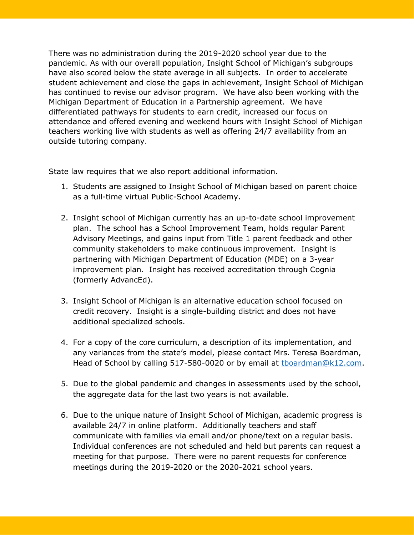There was no administration during the 2019-2020 school year due to the pandemic. As with our overall population, Insight School of Michigan's subgroups have also scored below the state average in all subjects. In order to accelerate student achievement and close the gaps in achievement, Insight School of Michigan has continued to revise our advisor program. We have also been working with the Michigan Department of Education in a Partnership agreement. We have differentiated pathways for students to earn credit, increased our focus on attendance and offered evening and weekend hours with Insight School of Michigan teachers working live with students as well as offering 24/7 availability from an outside tutoring company.

State law requires that we also report additional information.

- 1. Students are assigned to Insight School of Michigan based on parent choice as a full-time virtual Public-School Academy.
- 2. Insight school of Michigan currently has an up-to-date school improvement plan. The school has a School Improvement Team, holds regular Parent Advisory Meetings, and gains input from Title 1 parent feedback and other community stakeholders to make continuous improvement. Insight is partnering with Michigan Department of Education (MDE) on a 3-year improvement plan. Insight has received accreditation through Cognia (formerly AdvancEd).
- 3. Insight School of Michigan is an alternative education school focused on credit recovery. Insight is a single-building district and does not have additional specialized schools.
- 4. For a copy of the core curriculum, a description of its implementation, and any variances from the state's model, please contact Mrs. Teresa Boardman, Head of School by calling 517-580-0020 or by email at thoardman@k12.com.
- 5. Due to the global pandemic and changes in assessments used by the school, the aggregate data for the last two years is not available.
- 6. Due to the unique nature of Insight School of Michigan, academic progress is available 24/7 in online platform. Additionally teachers and staff communicate with families via email and/or phone/text on a regular basis. Individual conferences are not scheduled and held but parents can request a meeting for that purpose. There were no parent requests for conference meetings during the 2019-2020 or the 2020-2021 school years.